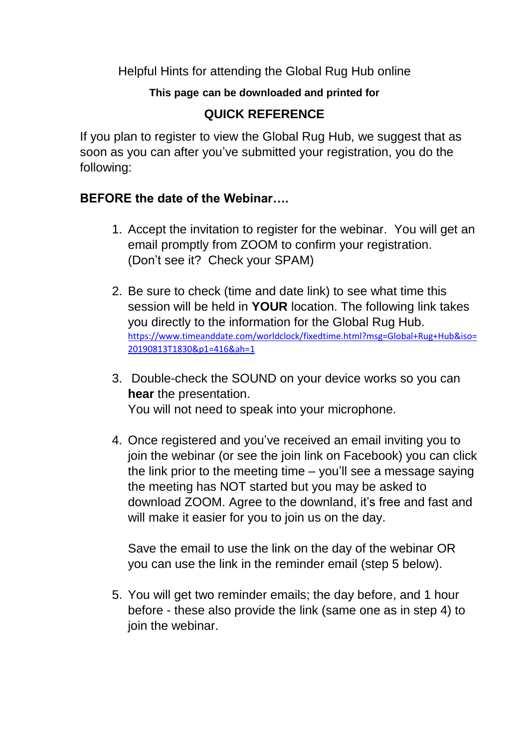Helpful Hints for attending the Global Rug Hub online

## **This page can be downloaded and printed for**

## **QUICK REFERENCE**

If you plan to register to view the Global Rug Hub, we suggest that as soon as you can after you've submitted your registration, you do the following:

## **BEFORE the date of the Webinar….**

- 1. Accept the invitation to register for the webinar. You will get an email promptly from ZOOM to confirm your registration. (Don't see it? Check your SPAM)
- 2. Be sure to check (time and date link) to see what time this session will be held in **YOUR** location. The following link takes you directly to the information for the Global Rug Hub. [https://www.timeanddate.com/worldclock/fixedtime.html?msg=Global+Rug+Hub&iso=](https://www.timeanddate.com/worldclock/fixedtime.html?msg=Global+Rug+Hub&iso=20190813T1830&p1=416&ah=1) [20190813T1830&p1=416&ah=1](https://www.timeanddate.com/worldclock/fixedtime.html?msg=Global+Rug+Hub&iso=20190813T1830&p1=416&ah=1)
- 3. Double-check the SOUND on your device works so you can **hear** the presentation. You will not need to speak into your microphone.
- 4. Once registered and you've received an email inviting you to join the webinar (or see the join link on Facebook) you can click the link prior to the meeting time – you'll see a message saying the meeting has NOT started but you may be asked to download ZOOM. Agree to the downland, it's free and fast and will make it easier for you to join us on the day.

Save the email to use the link on the day of the webinar OR you can use the link in the reminder email (step 5 below).

5. You will get two reminder emails; the day before, and 1 hour before - these also provide the link (same one as in step 4) to join the webinar.